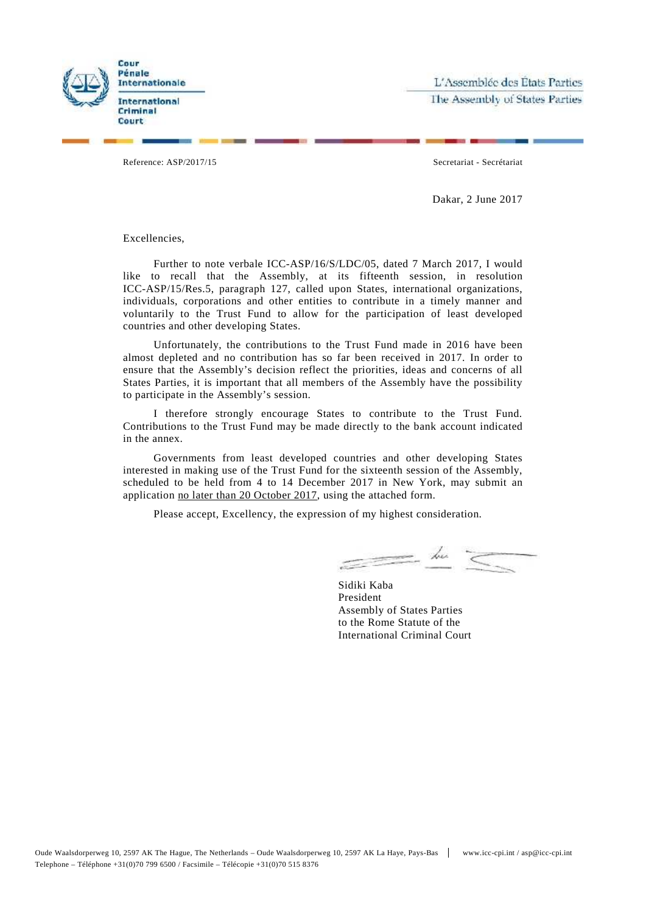

L'Assemblée des États Parties The Assembly of States Parties

Reference: ASP/2017/15 Secretariat - Secrétariat

Dakar, 2 June 2017

Excellencies,

Further to note verbale ICC-ASP/16/S/LDC/05, dated 7 March 2017, I would like to recall that the Assembly, at its fifteenth session, in resolution ICC-ASP/15/Res.5, paragraph 127, called upon States, international organizations, individuals, corporations and other entities to contribute in a timely manner and voluntarily to the Trust Fund to allow for the participation of least developed countries and other developing States.

Unfortunately, the contributions to the Trust Fund made in 2016 have been almost depleted and no contribution has so far been received in 2017. In order to ensure that the Assembly's decision reflect the priorities, ideas and concerns of all States Parties, it is important that all members of the Assembly have the possibility to participate in the Assembly's session.

I therefore strongly encourage States to contribute to the Trust Fund. Contributions to the Trust Fund may be made directly to the bank account indicated in the annex.

Governments from least developed countries and other developing States interested in making use of the Trust Fund for the sixteenth session of the Assembly, scheduled to be held from 4 to 14 December 2017 in New York, may submit an application no later than 20 October 2017, using the attached form.

Please accept, Excellency, the expression of my highest consideration.

 $=$  the  $<$ 

Sidiki Kaba President Assembly of States Parties to the Rome Statute of the International Criminal Court